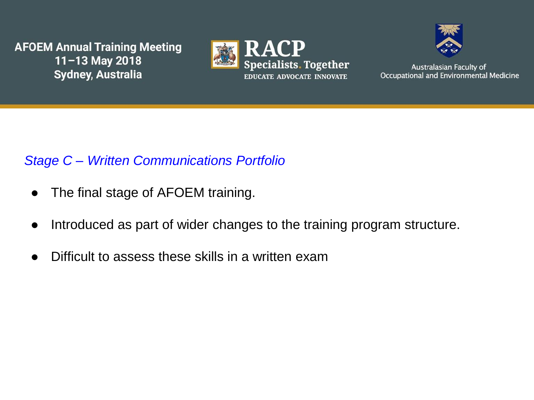



Australasian Faculty of Occupational and Environmental Medicine

### *Stage C – Written Communications Portfolio*

- The final stage of AFOEM training.
- Introduced as part of wider changes to the training program structure.
- Difficult to assess these skills in a written exam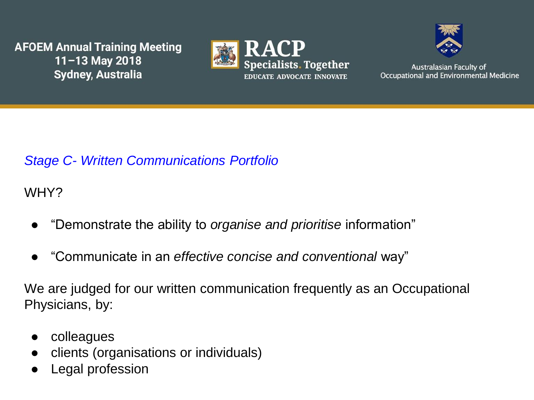



Australasian Faculty of Occupational and Environmental Medicine

## *Stage C- Written Communications Portfolio*

WHY?

- "Demonstrate the ability to *organise and prioritise* information"
- "Communicate in an *effective concise and conventional* way"

We are judged for our written communication frequently as an Occupational Physicians, by:

- colleagues
- clients (organisations or individuals)
- Legal profession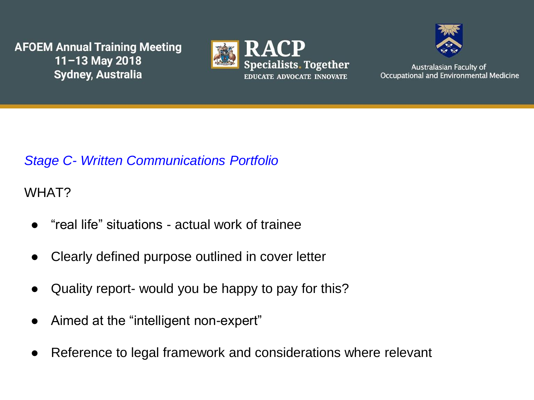



Australasian Faculty of Occupational and Environmental Medicine

## *Stage C- Written Communications Portfolio*

### WHAT?

- "real life" situations actual work of trainee
- Clearly defined purpose outlined in cover letter
- Quality report- would you be happy to pay for this?
- Aimed at the "intelligent non-expert"
- Reference to legal framework and considerations where relevant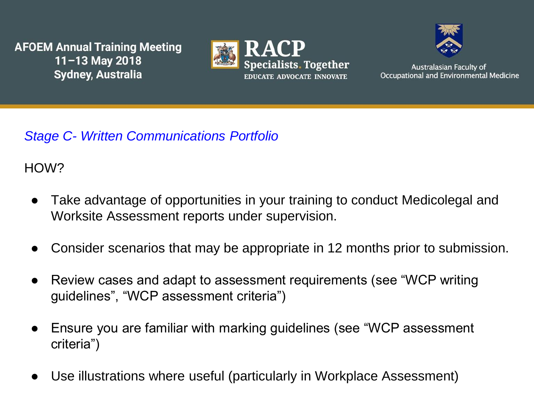



**Australasian Faculty of** Occupational and Environmental Medicine

## *Stage C- Written Communications Portfolio*

HOW?

- Take advantage of opportunities in your training to conduct Medicolegal and Worksite Assessment reports under supervision.
- Consider scenarios that may be appropriate in 12 months prior to submission.
- Review cases and adapt to assessment requirements (see "WCP writing guidelines", "WCP assessment criteria")
- Ensure you are familiar with marking guidelines (see "WCP assessment" criteria")
- Use illustrations where useful (particularly in Workplace Assessment)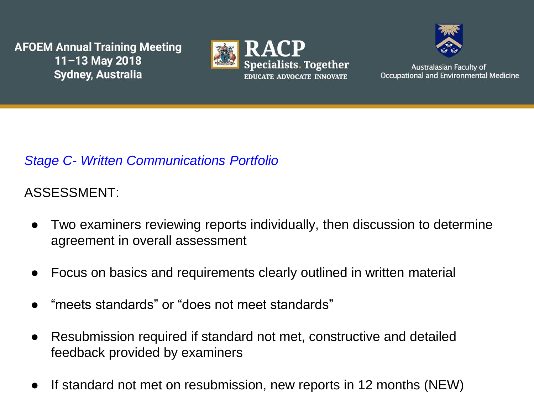



**Australasian Faculty of** Occupational and Environmental Medicine

## *Stage C- Written Communications Portfolio*

## ASSESSMENT:

- Two examiners reviewing reports individually, then discussion to determine agreement in overall assessment
- Focus on basics and requirements clearly outlined in written material
- "meets standards" or "does not meet standards"
- Resubmission required if standard not met, constructive and detailed feedback provided by examiners
- If standard not met on resubmission, new reports in 12 months (NEW)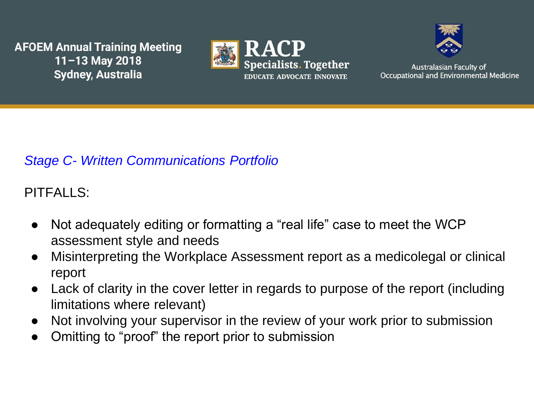



**Australasian Faculty of** Occupational and Environmental Medicine

# *Stage C- Written Communications Portfolio*

# PITFALLS:

- Not adequately editing or formatting a "real life" case to meet the WCP assessment style and needs
- Misinterpreting the Workplace Assessment report as a medicolegal or clinical report
- Lack of clarity in the cover letter in regards to purpose of the report (including limitations where relevant)
- Not involving your supervisor in the review of your work prior to submission
- Omitting to "proof" the report prior to submission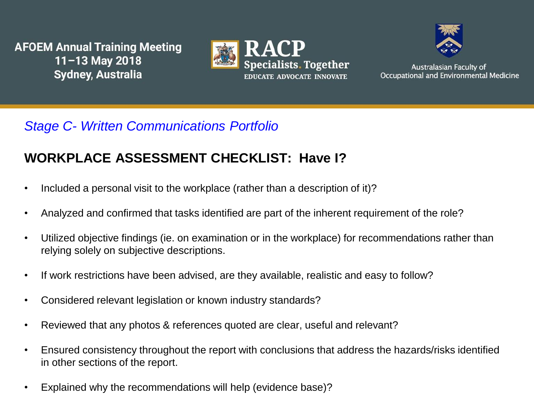



Australasian Faculty of Occupational and Environmental Medicine

### *Stage C- Written Communications Portfolio*

### **WORKPLACE ASSESSMENT CHECKLIST: Have I?**

- Included a personal visit to the workplace (rather than a description of it)?
- Analyzed and confirmed that tasks identified are part of the inherent requirement of the role?
- Utilized objective findings (ie. on examination or in the workplace) for recommendations rather than relying solely on subjective descriptions.
- If work restrictions have been advised, are they available, realistic and easy to follow?
- Considered relevant legislation or known industry standards?
- Reviewed that any photos & references quoted are clear, useful and relevant?
- Ensured consistency throughout the report with conclusions that address the hazards/risks identified in other sections of the report.
- Explained why the recommendations will help (evidence base)?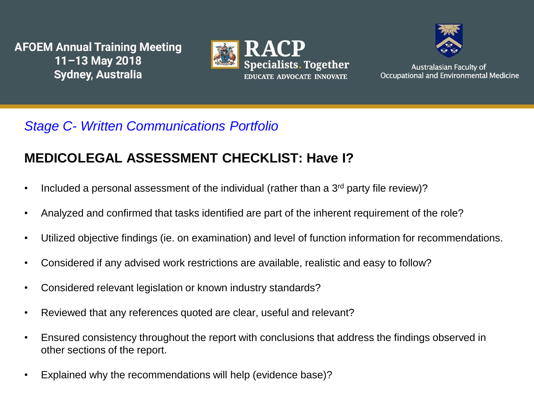



**Australasian Faculty of** Occupational and Environmental Medicine

## *Stage C- Written Communications Portfolio*

## **MEDICOLEGAL ASSESSMENT CHECKLIST: Have I?**

- Included a personal assessment of the individual (rather than a  $3<sup>rd</sup>$  party file review)?
- Analyzed and confirmed that tasks identified are part of the inherent requirement of the role?
- Utilized objective findings (ie. on examination) and level of function information for recommendations.
- Considered if any advised work restrictions are available, realistic and easy to follow?
- Considered relevant legislation or known industry standards?
- Reviewed that any references quoted are clear, useful and relevant?
- Ensured consistency throughout the report with conclusions that address the findings observed in other sections of the report.
- Explained why the recommendations will help (evidence base)?